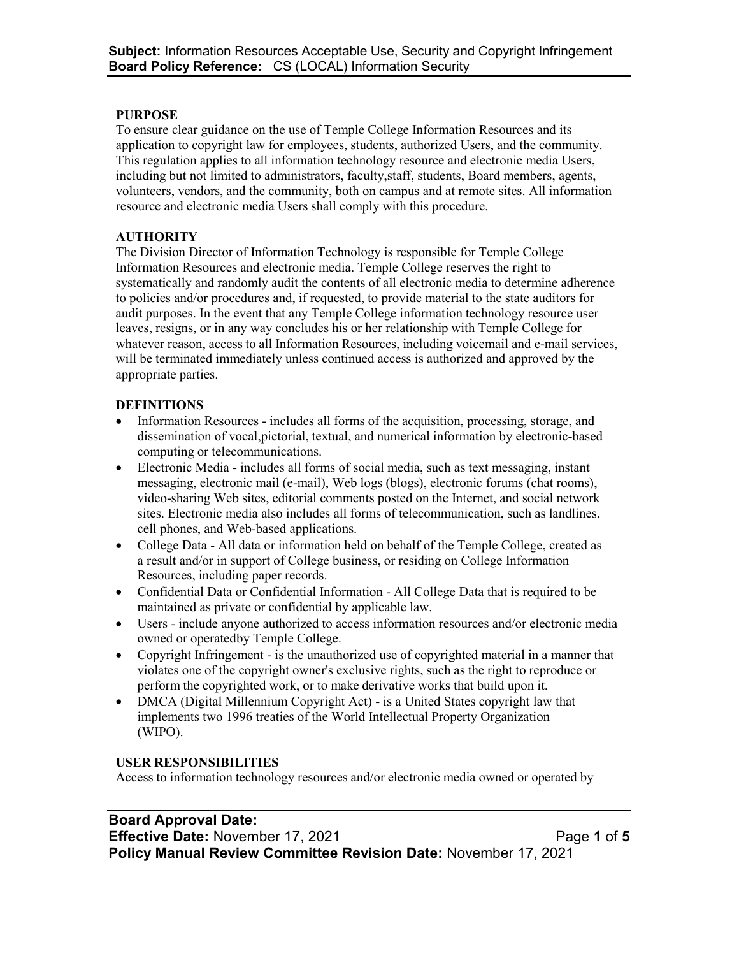#### **PURPOSE**

To ensure clear guidance on the use of Temple College Information Resources and its application to copyright law for employees, students, authorized Users, and the community. This regulation applies to all information technology resource and electronic media Users, including but not limited to administrators, faculty,staff, students, Board members, agents, volunteers, vendors, and the community, both on campus and at remote sites. All information resource and electronic media Users shall comply with this procedure.

### **AUTHORITY**

The Division Director of Information Technology is responsible for Temple College Information Resources and electronic media. Temple College reserves the right to systematically and randomly audit the contents of all electronic media to determine adherence to policies and/or procedures and, if requested, to provide material to the state auditors for audit purposes. In the event that any Temple College information technology resource user leaves, resigns, or in any way concludes his or her relationship with Temple College for whatever reason, access to all Information Resources, including voicemail and e-mail services, will be terminated immediately unless continued access is authorized and approved by the appropriate parties.

### **DEFINITIONS**

- Information Resources includes all forms of the acquisition, processing, storage, and dissemination of vocal,pictorial, textual, and numerical information by electronic-based computing or telecommunications.
- Electronic Media includes all forms of social media, such as text messaging, instant messaging, electronic mail (e-mail), Web logs (blogs), electronic forums (chat rooms), video-sharing Web sites, editorial comments posted on the Internet, and social network sites. Electronic media also includes all forms of telecommunication, such as landlines, cell phones, and Web-based applications.
- College Data All data or information held on behalf of the Temple College, created as a result and/or in support of College business, or residing on College Information Resources, including paper records.
- Confidential Data or Confidential Information All College Data that is required to be maintained as private or confidential by applicable law.
- Users include anyone authorized to access information resources and/or electronic media owned or operatedby Temple College.
- Copyright Infringement is the unauthorized use of copyrighted material in a manner that violates one of the copyright owner's exclusive rights, such as the right to reproduce or perform the copyrighted work, or to make derivative works that build upon it.
- DMCA (Digital Millennium Copyright Act) is a United States copyright law that implements two 1996 treaties of the World Intellectual Property Organization (WIPO).

### **USER RESPONSIBILITIES**

Access to information technology resources and/or electronic media owned or operated by

# **Board Approval Date:**

**Effective Date:** November 17, 2021 **Page 1** of 5 **Policy Manual Review Committee Revision Date:** November 17, 2021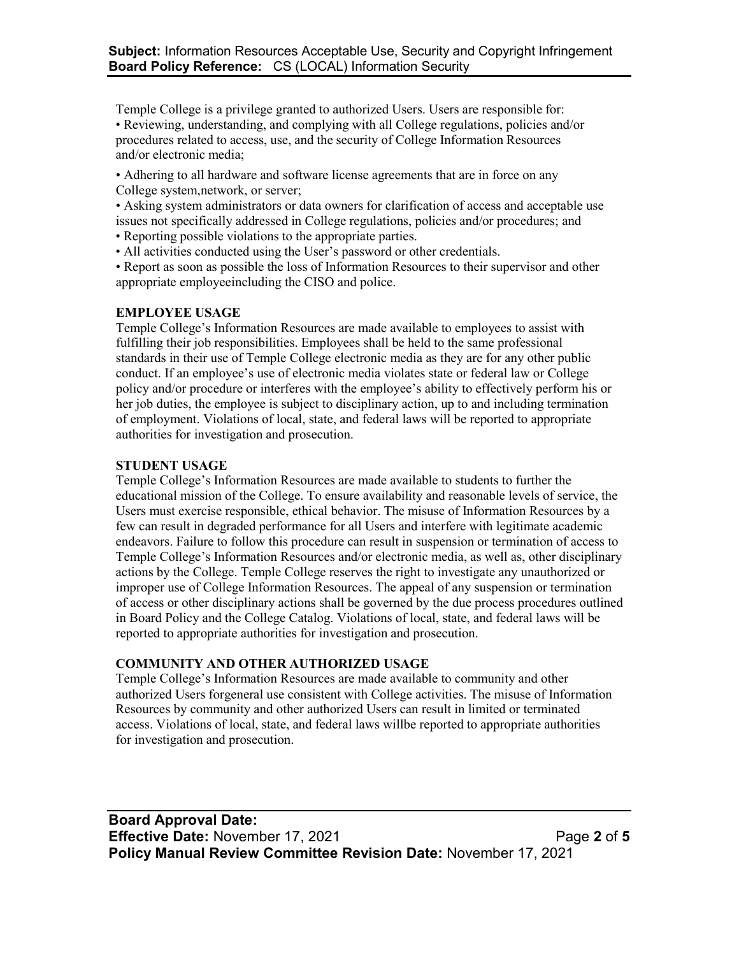Temple College is a privilege granted to authorized Users. Users are responsible for: • Reviewing, understanding, and complying with all College regulations, policies and/or procedures related to access, use, and the security of College Information Resources and/or electronic media;

• Adhering to all hardware and software license agreements that are in force on any College system,network, or server;

• Asking system administrators or data owners for clarification of access and acceptable use issues not specifically addressed in College regulations, policies and/or procedures; and • Reporting possible violations to the appropriate parties.

• All activities conducted using the User's password or other credentials.

• Report as soon as possible the loss of Information Resources to their supervisor and other appropriate employeeincluding the CISO and police.

#### **EMPLOYEE USAGE**

Temple College's Information Resources are made available to employees to assist with fulfilling their job responsibilities. Employees shall be held to the same professional standards in their use of Temple College electronic media as they are for any other public conduct. If an employee's use of electronic media violates state or federal law or College policy and/or procedure or interferes with the employee's ability to effectively perform his or her job duties, the employee is subject to disciplinary action, up to and including termination of employment. Violations of local, state, and federal laws will be reported to appropriate authorities for investigation and prosecution.

#### **STUDENT USAGE**

Temple College's Information Resources are made available to students to further the educational mission of the College. To ensure availability and reasonable levels of service, the Users must exercise responsible, ethical behavior. The misuse of Information Resources by a few can result in degraded performance for all Users and interfere with legitimate academic endeavors. Failure to follow this procedure can result in suspension or termination of access to Temple College's Information Resources and/or electronic media, as well as, other disciplinary actions by the College. Temple College reserves the right to investigate any unauthorized or improper use of College Information Resources. The appeal of any suspension or termination of access or other disciplinary actions shall be governed by the due process procedures outlined in Board Policy and the College Catalog. Violations of local, state, and federal laws will be reported to appropriate authorities for investigation and prosecution.

#### **COMMUNITY AND OTHER AUTHORIZED USAGE**

Temple College's Information Resources are made available to community and other authorized Users forgeneral use consistent with College activities. The misuse of Information Resources by community and other authorized Users can result in limited or terminated access. Violations of local, state, and federal laws willbe reported to appropriate authorities for investigation and prosecution.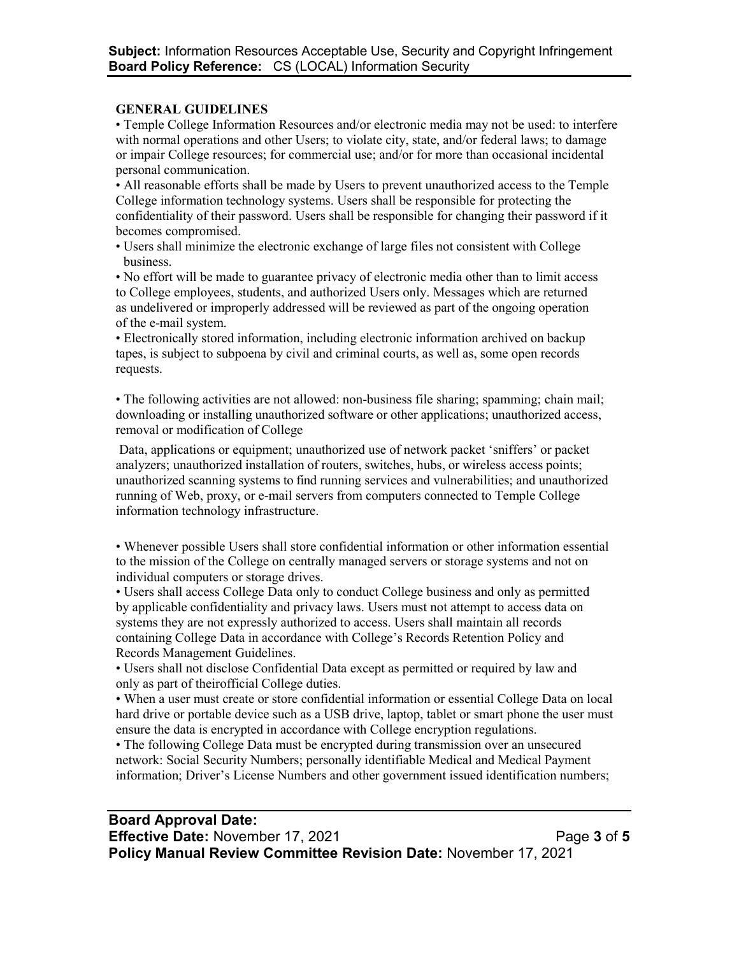### **GENERAL GUIDELINES**

• Temple College Information Resources and/or electronic media may not be used: to interfere with normal operations and other Users; to violate city, state, and/or federal laws; to damage or impair College resources; for commercial use; and/or for more than occasional incidental personal communication.

• All reasonable efforts shall be made by Users to prevent unauthorized access to the Temple College information technology systems. Users shall be responsible for protecting the confidentiality of their password. Users shall be responsible for changing their password if it becomes compromised.

• Users shall minimize the electronic exchange of large files not consistent with College business.

• No effort will be made to guarantee privacy of electronic media other than to limit access to College employees, students, and authorized Users only. Messages which are returned as undelivered or improperly addressed will be reviewed as part of the ongoing operation of the e-mail system.

• Electronically stored information, including electronic information archived on backup tapes, is subject to subpoena by civil and criminal courts, as well as, some open records requests.

• The following activities are not allowed: non-business file sharing; spamming; chain mail; downloading or installing unauthorized software or other applications; unauthorized access, removal or modification of College

Data, applications or equipment; unauthorized use of network packet 'sniffers' or packet analyzers; unauthorized installation of routers, switches, hubs, or wireless access points; unauthorized scanning systems to find running services and vulnerabilities; and unauthorized running of Web, proxy, or e-mail servers from computers connected to Temple College information technology infrastructure.

• Whenever possible Users shall store confidential information or other information essential to the mission of the College on centrally managed servers or storage systems and not on individual computers or storage drives.

• Users shall access College Data only to conduct College business and only as permitted by applicable confidentiality and privacy laws. Users must not attempt to access data on systems they are not expressly authorized to access. Users shall maintain all records containing College Data in accordance with College's Records Retention Policy and Records Management Guidelines.

• Users shall not disclose Confidential Data except as permitted or required by law and only as part of theirofficial College duties.

• When a user must create or store confidential information or essential College Data on local hard drive or portable device such as a USB drive, laptop, tablet or smart phone the user must ensure the data is encrypted in accordance with College encryption regulations.

• The following College Data must be encrypted during transmission over an unsecured network: Social Security Numbers; personally identifiable Medical and Medical Payment information; Driver's License Numbers and other government issued identification numbers;

### **Board Approval Date: Effective Date:** November 17, 2021 **Page 3** of 5 **Policy Manual Review Committee Revision Date:** November 17, 2021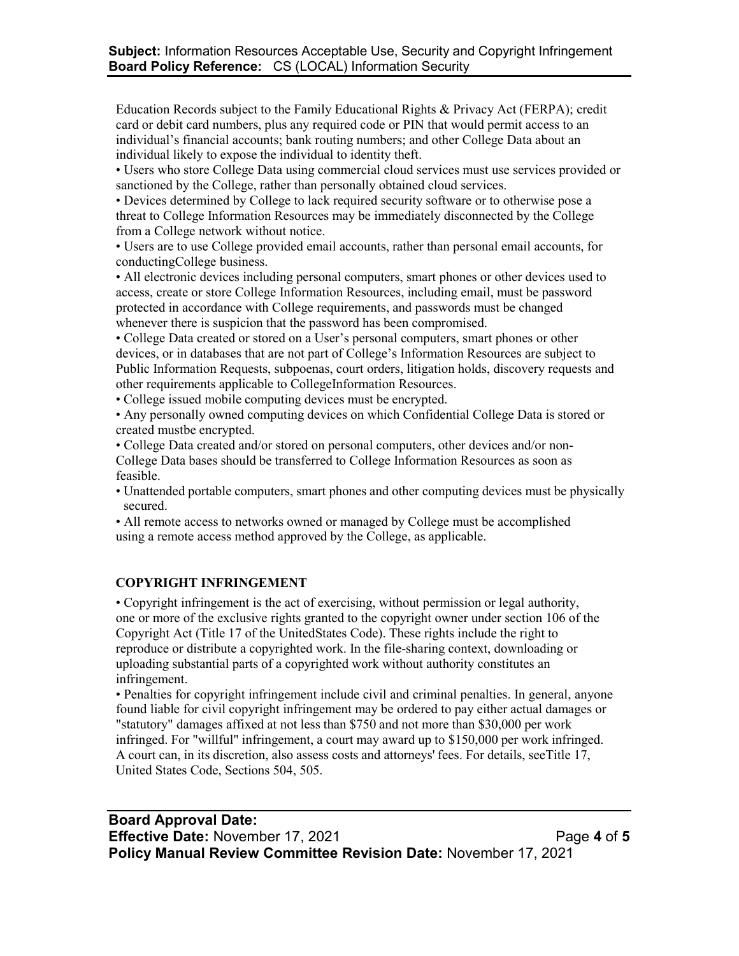Education Records subject to the Family Educational Rights & Privacy Act (FERPA); credit card or debit card numbers, plus any required code or PIN that would permit access to an individual's financial accounts; bank routing numbers; and other College Data about an individual likely to expose the individual to identity theft.

• Users who store College Data using commercial cloud services must use services provided or sanctioned by the College, rather than personally obtained cloud services.

• Devices determined by College to lack required security software or to otherwise pose a threat to College Information Resources may be immediately disconnected by the College from a College network without notice.

• Users are to use College provided email accounts, rather than personal email accounts, for conductingCollege business.

• All electronic devices including personal computers, smart phones or other devices used to access, create or store College Information Resources, including email, must be password protected in accordance with College requirements, and passwords must be changed whenever there is suspicion that the password has been compromised.

• College Data created or stored on a User's personal computers, smart phones or other devices, or in databases that are not part of College's Information Resources are subject to Public Information Requests, subpoenas, court orders, litigation holds, discovery requests and other requirements applicable to CollegeInformation Resources.

• College issued mobile computing devices must be encrypted.

• Any personally owned computing devices on which Confidential College Data is stored or created mustbe encrypted.

• College Data created and/or stored on personal computers, other devices and/or non-College Data bases should be transferred to College Information Resources as soon as feasible.

• Unattended portable computers, smart phones and other computing devices must be physically secured.

• All remote access to networks owned or managed by College must be accomplished using a remote access method approved by the College, as applicable.

#### **COPYRIGHT INFRINGEMENT**

• Copyright infringement is the act of exercising, without permission or legal authority, one or more of the exclusive rights granted to the copyright owner under section 106 of the Copyright Act (Title 17 of the UnitedStates Code). These rights include the right to reproduce or distribute a copyrighted work. In the file-sharing context, downloading or uploading substantial parts of a copyrighted work without authority constitutes an infringement.

• Penalties for copyright infringement include civil and criminal penalties. In general, anyone found liable for civil copyright infringement may be ordered to pay either actual damages or "statutory" damages affixed at not less than \$750 and not more than \$30,000 per work infringed. For "willful" infringement, a court may award up to \$150,000 per work infringed. A court can, in its discretion, also assess costs and attorneys' fees. For details, seeTitle 17, United States Code, Sections 504, 505.